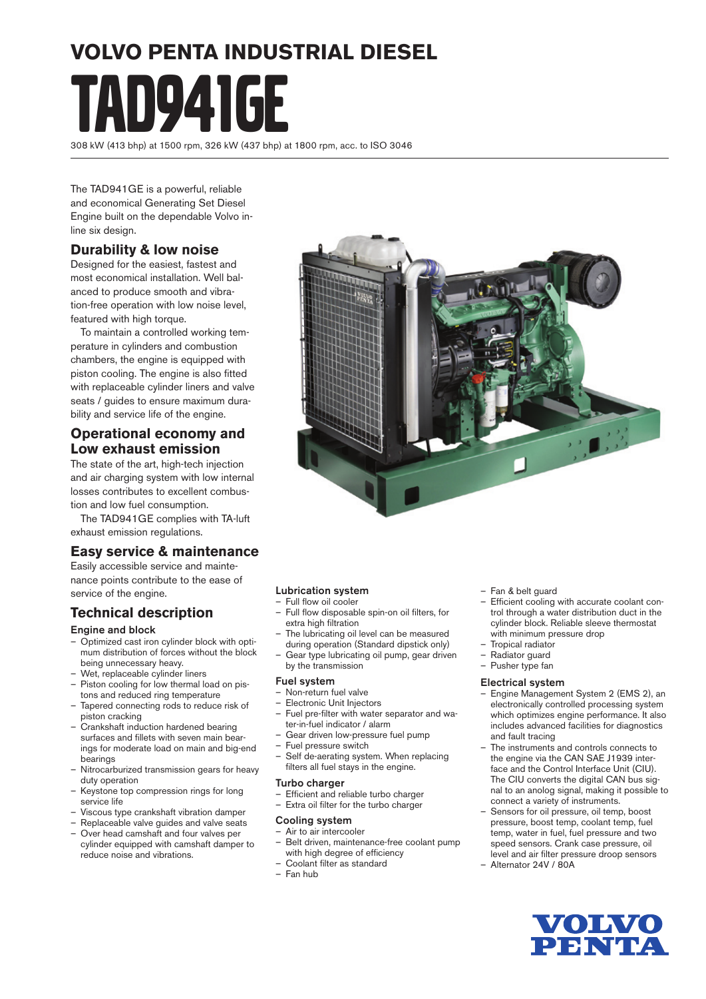# **VOLVO PENTA INDUSTRIAL DIESEL** TAD941GE

308 kW (413 bhp) at 1500 rpm, 326 kW (437 bhp) at 1800 rpm, acc. to ISO 3046

The TAD941GE is a powerful, reliable and economical Generating Set Diesel Engine built on the dependable Volvo inline six design.

#### **Durability & low noise**

Designed for the easiest, fastest and most economical installation. Well balanced to produce smooth and vibration-free operation with low noise level, featured with high torque.

 To maintain a controlled working temperature in cylinders and combustion chambers, the engine is equipped with piston cooling. The engine is also fitted with replaceable cylinder liners and valve seats / guides to ensure maximum durability and service life of the engine.

#### **Operational economy and Low exhaust emission**

The state of the art, high-tech injection and air charging system with low internal losses contributes to excellent combustion and low fuel consumption.

 The TAD941GE complies with TA-luft exhaust emission regulations.

#### **Easy service & maintenance**

Easily accessible service and maintenance points contribute to the ease of service of the engine.

### **Technical description**

#### Engine and block

- Optimized cast iron cylinder block with optimum distribution of forces without the block being unnecessary heavy.
- Wet, replaceable cylinder liners
- Piston cooling for low thermal load on pistons and reduced ring temperature
- Tapered connecting rods to reduce risk of piston cracking
- Crankshaft induction hardened bearing surfaces and fillets with seven main bearings for moderate load on main and big-end bearings
- Nitrocarburized transmission gears for heavy duty operation
- Keystone top compression rings for long service life
- Viscous type crankshaft vibration damper
- Replaceable valve guides and valve seats – Over head camshaft and four valves per cylinder equipped with camshaft damper to reduce noise and vibrations.

#### Lubrication system

- Full flow oil cooler

- Full flow disposable spin-on oil filters, for extra high filtration
- The lubricating oil level can be measured during operation (Standard dipstick only)
- Gear type lubricating oil pump, gear driven by the transmission

#### Fuel system

- Non-return fuel valve
- Electronic Unit Injectors
- Fuel pre-filter with water separator and water-in-fuel indicator / alarm
- Gear driven low-pressure fuel pump
- Fuel pressure switch
- Self de-aerating system. When replacing filters all fuel stays in the engine.

#### **Turbo** charger

- $-$  Efficient and reliable turbo charger
- Extra oil filter for the turbo charger

#### Cooling system

- Air to air intercooler
- Belt driven, maintenance-free coolant pump with high degree of efficiency
- Coolant filter as standard
- Fan hub
- Fan & belt guard
- Efficient cooling with accurate coolant control through a water distribution duct in the cylinder block. Reliable sleeve thermostat with minimum pressure drop
- Tropical radiator
- Radiator guard
- Pusher type fan

#### Electrical system

- Engine Management System 2 (EMS 2), an electronically controlled processing system which optimizes engine performance. It also includes advanced facilities for diagnostics and fault tracing
- The instruments and controls connects to the engine via the CAN SAE J1939 interface and the Control Interface Unit (CIU). The CIU converts the digital CAN bus signal to an anolog signal, making it possible to connect a variety of instruments.
- Sensors for oil pressure, oil temp, boost pressure, boost temp, coolant temp, fuel temp, water in fuel, fuel pressure and two speed sensors. Crank case pressure, oil level and air filter pressure droop sensors
- Alternator 24V / 80A